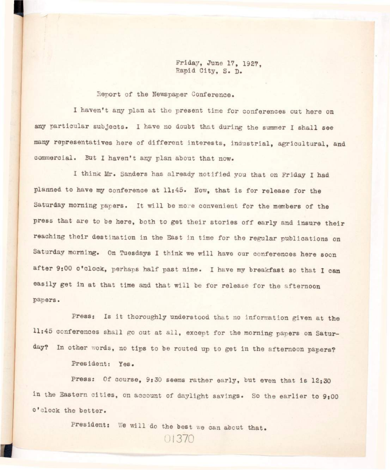**Friday, June 17, 1927, Rapid City, S. D.** 

**Report of the Newspaper Conference,** 

**I haven't any plan at the present time for conferences out here on**  any particular subjects. I have no doubt that during the summer I shall see many representatives here of different interests, industrial, agricultural, and **commercial. But I haven't any plan about that now.** 

I think Mr. Sanders has already notified you that on Friday I had planned to have my conference at 11:45. Now, that is for release for the Saturday morning papers. It will be more convenient for the members of the press that are to be here, both to get their stories off early and insure their reaching their destination in the East in time for the regular publications on Saturday morning. On Tuesdays I think we will have our conferences here soon after 9:00 o'clock, perhaps half past nine. I have my breakfast so that I can easily get in at that time and that will be for release for the afternoon **papers•** 

Press: Is it thoroughly understood that no information given at the 11:45 conferences shall go out at all, except for the morning papers on Saturday? In other words, no tips to be routed up to get in the afternoon papers?

**Pres ident: Yes•** 

Press: Of course, 9:30 seems rather early, but even that is 12:30 in the Eastern cities, on account of daylight savings. So the earlier to 9:00 **o'clock the better.** 

President: We will do the best we can about that.

01:370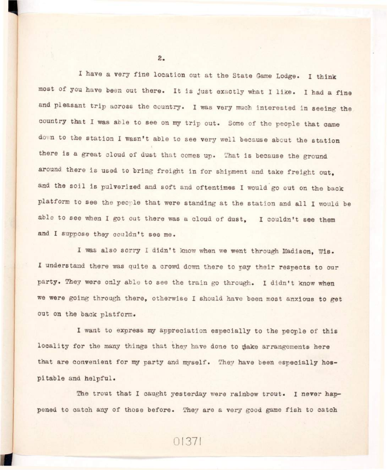**I have a very fine location out at the State Game Lodge. I think**  most of you have been out there. It is just exactly what I like. I had a fine and pleasant trip across the country. I was very much interested in seeing the country that I was able to see on my trip out. Some of the people that came down to the station I wasn't able to see very well because about the station there is a great cloud of dust that comes up. That is because the ground around there is used to bring freight in for shipment and take freight out. and the soil is pulverized and soft and oftentimes I would go out on the back platform to see the people that were standing at the station and all I would be **able to see when I got out there was a cloud of dust, I couldn't see them and I suppose they couldn't see me.** 

**I was also sorry I didn't know when we went through Madison, Wis. I understand there was quite a crowd down there to pay their respects to our**  party. They were only able to see the train go through. I didn't know when **we were going through there, otherwise I should have been most anxious to get out on the back platform.** 

I want to express my appreciation especially to the people of this locality for the many things that they have done to make arrangements here **that are convenient for my party and myself. They have been especially hos**pitable and helpful.

The trout that I caught yesterday were rainbow trout. I never happened to catch any of those before. They are a very good game fish to catch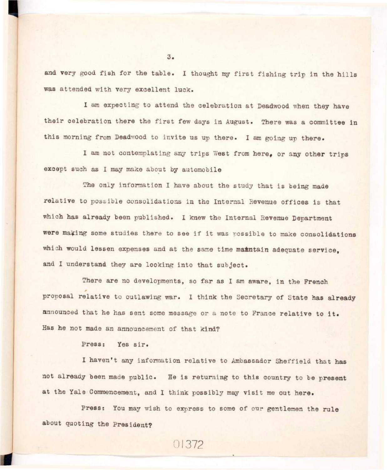and very good fish for the table. I thought my first fishing trip in the hills **was attended with very excellent luck.** 

**I am expecting to attend the celebration at Deadwood when they have**  their celebration there the first few days in August. There was a committee in this morning from Deadwood to invite us up there. I am going up there.

I am not contemplating any trips West from here, or any other trips **except such as I may make about by automobile** 

The only information I have about the study that is being made relative to possible consolidations in the Internal Revenue offices is that **which has already been published. I knew the Internal Revenue Department**  were making some studies there to see if it was possible to make consolidations which would lessen expenses and at the same time maintain adequate service. **and I understand they are looking into that subject.** 

There are no developments, so far as I am aware, in the French **proposal relative to outlawing war. I think the Secretary of State has already**  announced that he has sent some message or a note to France relative to it. **Has he not made an announcement of that kind?** 

**Press: Yes sir \*** 

**I haven't any information relative to Ambassador Sheffield that has**  not already been made public. He is returning to this country to be present **at the Yale Commencement, and I think possibly may visi t me out here.** 

**Press: You may wish to express to some of our gentlemen the rule about quoting the President?** 

01372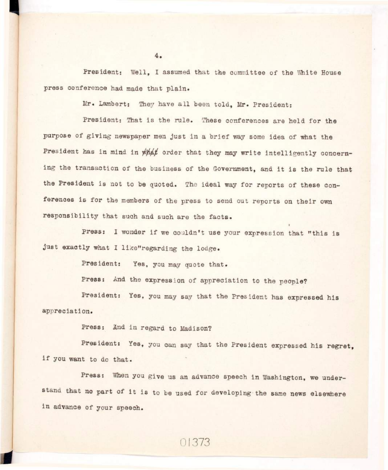**President: Well, I assumed that the committee of the White House**  press conference had made that plain.

Mr. Lambert: They have all been told, Mr. President:

President: That is the rule. These conferences are held for the purpose of giving newspaper men just in a brief way some idea of what the President has in mind in what order that they may write intelligently concerning the transaction of the business of the Government, and it is the rule that the President is not to be quoted. The ideal way for reports of these conferences is for the members of the press to send out reports on their own responsibility that such and such are the facts.

**press:** I wonder if we couldn't use your expression that "this is **just exactly what I like"regarding the lodge.** 

President: Yes, you may quote that.

**Press: And the expression of appreciation to the people?** 

**President: Yes, you may say that the President has expressed his appreciation.** 

Press: And in regard to Madison?

**President: Yes, you can say that the President expressed his regret, <sup>i</sup> f you want to do that.** 

Press: When you give us an advance speech in Washington, we understand that no part of it is to be used for developing the same news elsewhere **<sup>i</sup> n advance of your speech.** 

01373